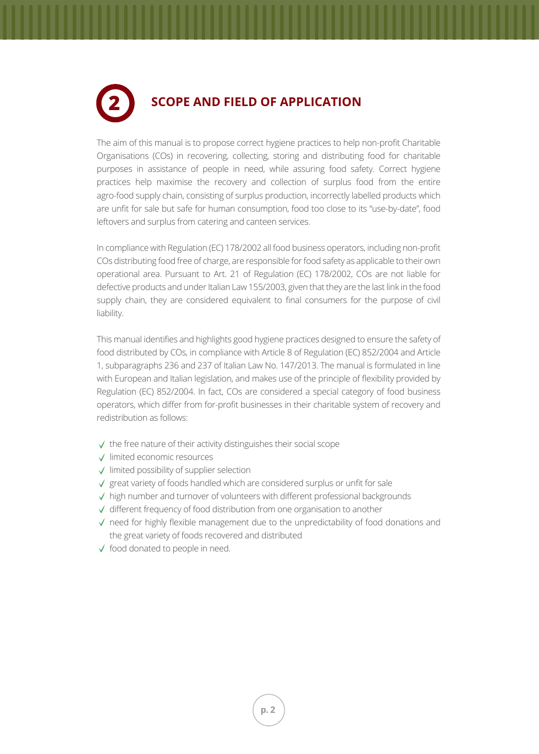## **2**

## **SCOPE AND FIELD OF APPLICATION**

The aim of this manual is to propose correct hygiene practices to help non-profit Charitable Organisations (COs) in recovering, collecting, storing and distributing food for charitable purposes in assistance of people in need, while assuring food safety. Correct hygiene practices help maximise the recovery and collection of surplus food from the entire agro-food supply chain, consisting of surplus production, incorrectly labelled products which are unfit for sale but safe for human consumption, food too close to its "use-by-date", food leftovers and surplus from catering and canteen services.

In compliance with Regulation (EC) 178/2002 all food business operators, including non-profit COs distributing food free of charge, are responsible for food safety as applicable to their own operational area. Pursuant to Art. 21 of Regulation (EC) 178/2002, COs are not liable for defective products and under Italian Law 155/2003, given that they are the last link in the food supply chain, they are considered equivalent to final consumers for the purpose of civil liability.

This manual identifies and highlights good hygiene practices designed to ensure the safety of food distributed by COs, in compliance with Article 8 of Regulation (EC) 852/2004 and Article 1, subparagraphs 236 and 237 of Italian Law No. 147/2013. The manual is formulated in line with European and Italian legislation, and makes use of the principle of flexibility provided by Regulation (EC) 852/2004. In fact, COs are considered a special category of food business operators, which differ from for-profit businesses in their charitable system of recovery and redistribution as follows:

- $\sqrt{ }$  the free nature of their activity distinguishes their social scope
- limited economic resources
- $\sqrt{\ }$  limited possibility of supplier selection
- $\sqrt{2}$  great variety of foods handled which are considered surplus or unfit for sale
- $\sqrt{\phantom{a}}$  high number and turnover of volunteers with different professional backgrounds
- $\sqrt{\phantom{a}}$  different frequency of food distribution from one organisation to another
- $\sqrt{\ }$  need for highly flexible management due to the unpredictability of food donations and the great variety of foods recovered and distributed
- $\checkmark$  food donated to people in need.